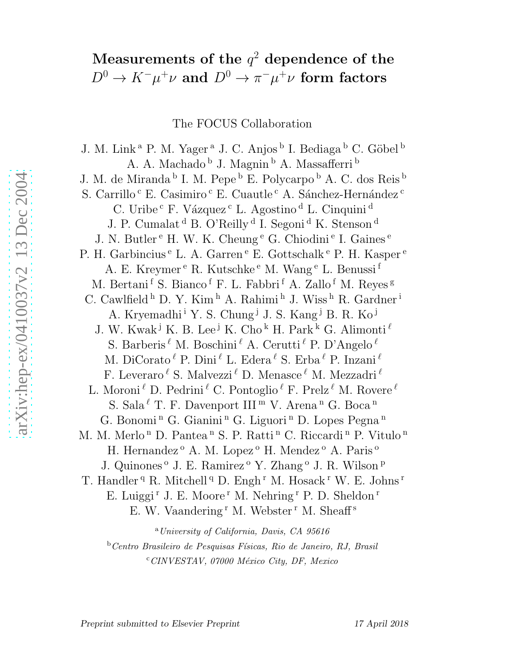# Measurements of the  $q^2$  dependence of the  $D^0 \rightarrow K^- \mu^+ \nu \,\, {\rm and} \,\, D^0 \rightarrow \pi^- \mu^+ \nu \,\, {\rm form} \,\, {\rm factors}$

The FOCUS Collaboration

J. M. Link<sup>a</sup> P. M. Yager<sup>a</sup> J. C. Anjos<sup>b</sup> I. Bediaga<sup>b</sup> C. Göbel<sup>b</sup> A. A. Machado  $^{\rm b}$  J. Magnin  $^{\rm b}$  A. Massafferri  $^{\rm b}$ J. M. de Miranda <sup>b</sup> I. M. Pepe <sup>b</sup> E. Polycarpo <sup>b</sup> A. C. dos Reis <sup>b</sup> S. Carrillo $\rm ^c$ E. C<br/>asimiro $\rm ^c$ E. Cuautle $\rm ^c$ A. Sánchez-Hernández <br/>  $\rm ^c$ C. Uribe<sup>c</sup> F. Vázquez<sup>c</sup> L. Agostino<sup>d</sup> L. Cinquini<sup>d</sup> J. P. Cumalat <sup>d</sup> B. O'Reilly <sup>d</sup> I. Segoni <sup>d</sup> K. Stenson <sup>d</sup> J. N. Butler<sup>e</sup> H. W. K. Cheung<sup>e</sup> G. Chiodini<sup>e</sup> I. Gaines<sup>e</sup> P. H. Garbincius<sup>e</sup> L. A. Garren<sup>e</sup> E. Gottschalk<sup>e</sup> P. H. Kasper<sup>e</sup> A. E. Kreymer <sup>e</sup> R. Kutschke <sup>e</sup> M. Wang <sup>e</sup> L. Benussi f M. Bertani<sup>f</sup> S. Bianco<sup>f</sup> F. L. Fabbri<sup>f</sup> A. Zallo<sup>f</sup> M. Reyes<sup>g</sup> C. Cawlfield<sup>h</sup> D. Y. Kim<sup>h</sup> A. Rahimi<sup>h</sup> J. Wiss<sup>h</sup> R. Gardner<sup>i</sup> A. Kryemadhi<sup>i</sup> Y. S. Chung<sup>j</sup> J. S. Kang<sup>j</sup> B. R. Ko<sup>j</sup> J. W. Kwak<sup>j</sup> K. B. Lee<sup>j</sup> K. Cho<sup>k</sup> H. Park<sup>k</sup> G. Alimonti<sup> $\ell$ </sup> S. Barberis<sup> $\ell$ </sup> M. Boschini $\ell$  A. Cerutti $\ell$  P. D'Angelo $\ell$ M. DiCorato  $^{\ell}$  P. Dini  $^{\ell}$  L. Edera  $^{\ell}$  S. Erba  $^{\ell}$  P. Inzani  $^{\ell}$ F. Leveraro  $^{\ell}$  S. Malvezzi  $^{\ell}$  D. Menasce  $^{\ell}$  M. Mezzadri  $^{\ell}$ L. Moroni $^{\ell}$  D. Pedrini $^{\ell}$  C. Pontoglio $^{\ell}$  F. Prelz $^{\ell}$  M. Rovere $^{\ell}$ S. Sala $\ell$  T. F. Davenport III<sup>m</sup> V. Arena<sup>n</sup> G. Boca<sup>n</sup> G. Bonomi<sup>n</sup> G. Gianini<sup>n</sup> G. Liguori<sup>n</sup> D. Lopes Pegna<sup>n</sup> M. M. Merlo<sup>n</sup> D. Pantea<sup>n</sup> S. P. Ratti<sup>n</sup> C. Riccardi<sup>n</sup> P. Vitulo<sup>n</sup> H. Hernandez<sup>o</sup> A. M. Lopez<sup>o</sup> H. Mendez<sup>o</sup> A. Paris<sup>o</sup> J. Quinones<sup>o</sup> J. E. Ramirez<sup>o</sup> Y. Zhang<sup>o</sup> J. R. Wilson<sup>p</sup> T. Handler<sup>q</sup> R. Mitchell<sup>q</sup> D. Engh<sup>r</sup> M. Hosack<sup>r</sup> W. E. Johns<sup>r</sup> E. Luiggi<sup>r</sup> J. E. Moore<sup>r</sup> M. Nehring<sup>r</sup> P. D. Sheldon<sup>r</sup> E. W. Vaandering<sup>r</sup> M. Webster<sup>r</sup> M. Sheaff<sup>s</sup>

<sup>a</sup>*University of California, Davis, CA 95616* <sup>b</sup>*Centro Brasileiro de Pesquisas F´ısicas, Rio de Janeiro, RJ, Brasil* <sup>c</sup> CINVESTAV, 07000 México City, DF, Mexico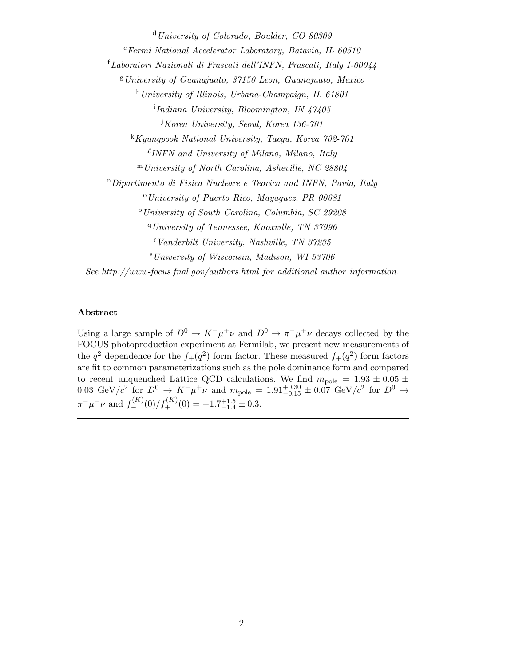<sup>d</sup>*University of Colorado, Boulder, CO 80309* <sup>e</sup>*Fermi National Accelerator Laboratory, Batavia, IL 60510* <sup>f</sup>*Laboratori Nazionali di Frascati dell'INFN, Frascati, Italy I-00044* <sup>g</sup>*University of Guanajuato, 37150 Leon, Guanajuato, Mexico* <sup>h</sup>*University of Illinois, Urbana-Champaign, IL 61801* i *Indiana University, Bloomington, IN 47405* <sup>j</sup>*Korea University, Seoul, Korea 136-701* <sup>k</sup>*Kyungpook National University, Taegu, Korea 702-701* ℓ *INFN and University of Milano, Milano, Italy* <sup>m</sup>*University of North Carolina, Asheville, NC 28804* <sup>n</sup>*Dipartimento di Fisica Nucleare e Teorica and INFN, Pavia, Italy* <sup>o</sup>*University of Puerto Rico, Mayaguez, PR 00681* <sup>p</sup>*University of South Carolina, Columbia, SC 29208* <sup>q</sup>*University of Tennessee, Knoxville, TN 37996* <sup>r</sup>*Vanderbilt University, Nashville, TN 37235* <sup>s</sup>*University of Wisconsin, Madison, WI 53706 See http://www-focus.fnal.gov/authors.html for additional author information.*

### Abstract

Using a large sample of  $D^0 \to K^- \mu^+ \nu$  and  $D^0 \to \pi^- \mu^+ \nu$  decays collected by the FOCUS photoproduction experiment at Fermilab, we present new measurements of the  $q^2$  dependence for the  $f_+(q^2)$  form factor. These measured  $f_+(q^2)$  form factors are fit to common parameterizations such as the pole dominance form and compared to recent unquenched Lattice QCD calculations. We find  $m_{\text{pole}} = 1.93 \pm 0.05 \pm 0.05$ 0.03 GeV/ $c^2$  for  $D^0 \to K^- \mu^+ \nu$  and  $m_{\text{pole}} = 1.91^{+0.30}_{-0.15} \pm 0.07$  GeV/ $c^2$  for  $D^0 \to$  $\pi^{-}\mu^{+}\nu$  and  $f_{-}^{(K)}(0)/f_{+}^{(K)}(0) = -1.7_{-1.4}^{+1.5} \pm 0.3.$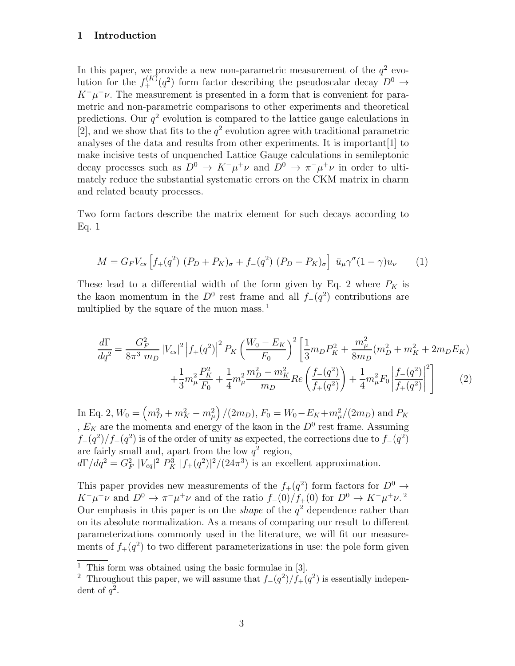### 1 Introduction

In this paper, we provide a new non-parametric measurement of the  $q^2$  evolution for the  $f_+^{(K)}(q^2)$  form factor describing the pseudoscalar decay  $D^0 \to$  $K^-\mu^+\nu$ . The measurement is presented in a form that is convenient for parametric and non-parametric comparisons to other experiments and theoretical predictions. Our  $q^2$  evolution is compared to the lattice gauge calculations in [2], and we show that fits to the  $q^2$  evolution agree with traditional parametric analyses of the data and results from other experiments. It is important[1] to make incisive tests of unquenched Lattice Gauge calculations in semileptonic decay processes such as  $D^0 \to K^- \mu^+ \nu$  and  $D^0 \to \pi^- \mu^+ \nu$  in order to ultimately reduce the substantial systematic errors on the CKM matrix in charm and related beauty processes.

Two form factors describe the matrix element for such decays according to Eq. 1

$$
M = G_F V_{cs} \left[ f_+(q^2) (P_D + P_K)_{\sigma} + f_-(q^2) (P_D - P_K)_{\sigma} \right] \bar{u}_{\mu} \gamma^{\sigma} (1 - \gamma) u_{\nu}
$$
 (1)

These lead to a differential width of the form given by Eq. 2 where  $P_K$  is the kaon momentum in the  $D^0$  rest frame and all  $f_-(q^2)$  contributions are multiplied by the square of the muon mass.<sup>1</sup>

$$
\frac{d\Gamma}{dq^2} = \frac{G_F^2}{8\pi^3 m_D} |V_{cs}|^2 |f_+(q^2)|^2 P_K \left(\frac{W_0 - E_K}{F_0}\right)^2 \left[\frac{1}{3}m_D P_K^2 + \frac{m_\mu^2}{8m_D}(m_D^2 + m_K^2 + 2m_D E_K) + \frac{1}{3}m_\mu^2 \frac{P_K^2}{F_0} + \frac{1}{4}m_\mu^2 \frac{m_D^2 - m_K^2}{m_D} Re\left(\frac{f_-(q^2)}{f_+(q^2)}\right) + \frac{1}{4}m_\mu^2 F_0 \left|\frac{f_-(q^2)}{f_+(q^2)}\right|^2\right]
$$
(2)

In Eq. 2,  $W_0 = \left(m_D^2 + m_K^2 - m_\mu^2\right)/(2m_D)$ ,  $F_0 = W_0 - E_K + m_\mu^2/(2m_D)$  and  $P_K$ ,  $E_K$  are the momenta and energy of the kaon in the  $D^0$  rest frame. Assuming  $f_-(q^2)/f_+(q^2)$  is of the order of unity as expected, the corrections due to  $f_-(q^2)$ are fairly small and, apart from the low  $q^2$  region,  $d\Gamma/dq^2 = G_F^2 |V_{cq}|^2 P_K^3 |f_+(q^2)|^2/(24\pi^3)$  is an excellent approximation.

This paper provides new measurements of the  $f_+(q^2)$  form factors for  $D^0 \to$  $K^-\mu^+\nu$  and  $D^0 \to \pi^-\mu^+\nu$  and of the ratio  $f_-(0)/f_+(0)$  for  $D^0 \to K^-\mu^+\nu$ . Our emphasis in this paper is on the *shape* of the  $q^2$  dependence rather than on its absolute normalization. As a means of comparing our result to different parameterizations commonly used in the literature, we will fit our measurements of  $f_+(q^2)$  to two different parameterizations in use: the pole form given

<sup>&</sup>lt;sup>1</sup> This form was obtained using the basic formulae in  $[3]$ .

<sup>&</sup>lt;sup>2</sup> Throughout this paper, we will assume that  $f_{-}(q^2)/f_{+}(q^2)$  is essentially independent of  $q^2$ .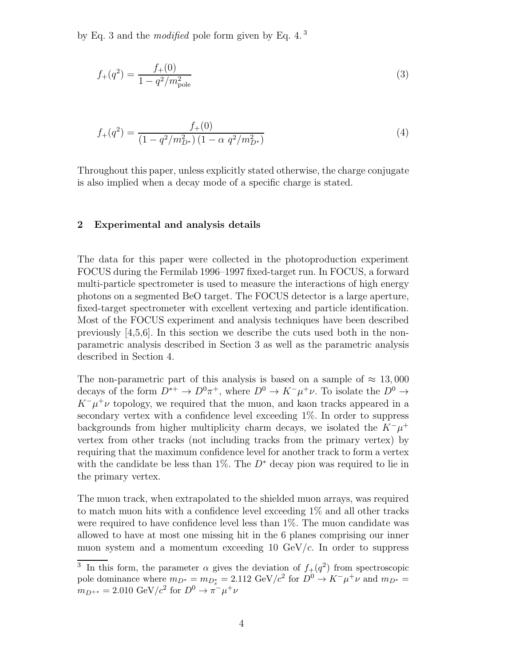by Eq. 3 and the *modified* pole form given by Eq.  $4^{3}$ .

$$
f_{+}(q^{2}) = \frac{f_{+}(0)}{1 - q^{2}/m_{\text{pole}}^{2}}
$$
\n(3)

$$
f_{+}(q^{2}) = \frac{f_{+}(0)}{(1 - q^{2}/m_{D^{*}}^{2})(1 - \alpha q^{2}/m_{D^{*}}^{2})}
$$
\n(4)

Throughout this paper, unless explicitly stated otherwise, the charge conjugate is also implied when a decay mode of a specific charge is stated.

#### 2 Experimental and analysis details

The data for this paper were collected in the photoproduction experiment FOCUS during the Fermilab 1996–1997 fixed-target run. In FOCUS, a forward multi-particle spectrometer is used to measure the interactions of high energy photons on a segmented BeO target. The FOCUS detector is a large aperture, fixed-target spectrometer with excellent vertexing and particle identification. Most of the FOCUS experiment and analysis techniques have been described previously [4,5,6]. In this section we describe the cuts used both in the nonparametric analysis described in Section 3 as well as the parametric analysis described in Section 4.

The non-parametric part of this analysis is based on a sample of  $\approx 13,000$ decays of the form  $D^{*+} \to D^0 \pi^+$ , where  $D^0 \to K^- \mu^+ \nu$ . To isolate the  $D^0 \to$  $K^-\mu^+\nu$  topology, we required that the muon, and kaon tracks appeared in a secondary vertex with a confidence level exceeding 1%. In order to suppress backgrounds from higher multiplicity charm decays, we isolated the  $K^-\mu^+$ vertex from other tracks (not including tracks from the primary vertex) by requiring that the maximum confidence level for another track to form a vertex with the candidate be less than 1%. The  $D^*$  decay pion was required to lie in the primary vertex.

The muon track, when extrapolated to the shielded muon arrays, was required to match muon hits with a confidence level exceeding 1% and all other tracks were required to have confidence level less than 1%. The muon candidate was allowed to have at most one missing hit in the 6 planes comprising our inner muon system and a momentum exceeding 10  $GeV/c$ . In order to suppress

<sup>&</sup>lt;sup>3</sup> In this form, the parameter  $\alpha$  gives the deviation of  $f_+(q^2)$  from spectroscopic pole dominance where  $m_{D^*} = m_{D^*} = 2.112 \text{ GeV}/c^2$  for  $D^0 \rightarrow K^- \mu^+ \nu$  and  $m_{D^*} =$  $m_{D^{+*}} = 2.010 \text{ GeV}/c^2 \text{ for } D^0 \to \pi^- \mu^+ \nu$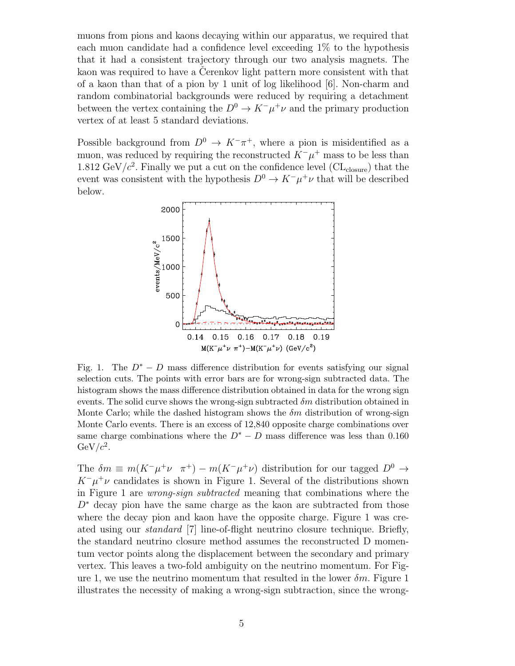muons from pions and kaons decaying within our apparatus, we required that each muon candidate had a confidence level exceeding 1% to the hypothesis that it had a consistent trajectory through our two analysis magnets. The kaon was required to have a Cerenkov light pattern more consistent with that of a kaon than that of a pion by 1 unit of log likelihood [6]. Non-charm and random combinatorial backgrounds were reduced by requiring a detachment between the vertex containing the  $D^0 \to K^-\mu^+\nu$  and the primary production vertex of at least 5 standard deviations.

Possible background from  $D^0 \to K^-\pi^+$ , where a pion is misidentified as a muon, was reduced by requiring the reconstructed  $K^-\mu^+$  mass to be less than 1.812 GeV/ $c^2$ . Finally we put a cut on the confidence level (CL<sub>closure</sub>) that the event was consistent with the hypothesis  $D^0 \to K^-\mu^+\nu$  that will be described below.



Fig. 1. The  $D^* - D$  mass difference distribution for events satisfying our signal selection cuts. The points with error bars are for wrong-sign subtracted data. The histogram shows the mass difference distribution obtained in data for the wrong sign events. The solid curve shows the wrong-sign subtracted  $\delta m$  distribution obtained in Monte Carlo; while the dashed histogram shows the  $\delta m$  distribution of wrong-sign Monte Carlo events. There is an excess of 12,840 opposite charge combinations over same charge combinations where the  $D^* - D$  mass difference was less than 0.160  ${\rm GeV}/c^2$ .

The  $\delta m \equiv m(K^-\mu^+\nu^-\pi^+) - m(K^-\mu^+\nu)$  distribution for our tagged  $D^0 \to$  $K^-\mu^+\nu$  candidates is shown in Figure 1. Several of the distributions shown in Figure 1 are wrong-sign subtracted meaning that combinations where the  $D^*$  decay pion have the same charge as the kaon are subtracted from those where the decay pion and kaon have the opposite charge. Figure 1 was created using our standard [7] line-of-flight neutrino closure technique. Briefly, the standard neutrino closure method assumes the reconstructed D momentum vector points along the displacement between the secondary and primary vertex. This leaves a two-fold ambiguity on the neutrino momentum. For Figure 1, we use the neutrino momentum that resulted in the lower  $\delta m$ . Figure 1 illustrates the necessity of making a wrong-sign subtraction, since the wrong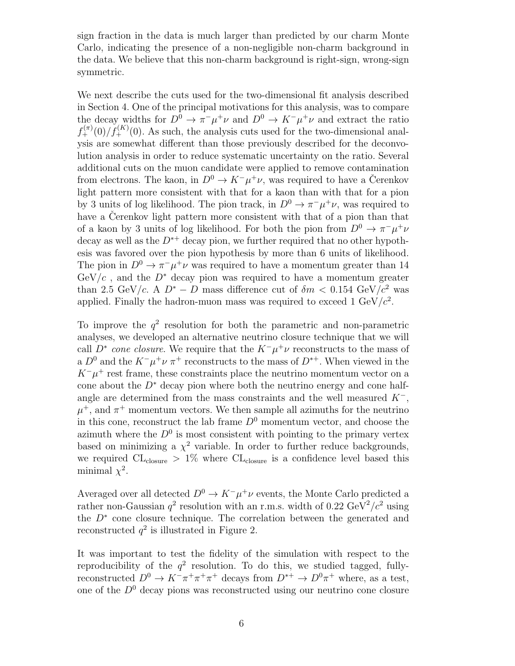sign fraction in the data is much larger than predicted by our charm Monte Carlo, indicating the presence of a non-negligible non-charm background in the data. We believe that this non-charm background is right-sign, wrong-sign symmetric.

We next describe the cuts used for the two-dimensional fit analysis described in Section 4. One of the principal motivations for this analysis, was to compare the decay widths for  $D^0 \to \pi^- \mu^+ \nu$  and  $D^0 \to K^- \mu^+ \nu$  and extract the ratio  $f_{+}^{(\pi)}(0)/f_{+}^{(K)}(0)$ . As such, the analysis cuts used for the two-dimensional analysis are somewhat different than those previously described for the deconvolution analysis in order to reduce systematic uncertainty on the ratio. Several additional cuts on the muon candidate were applied to remove contamination from electrons. The kaon, in  $D^0 \to K^-\mu^+\nu$ , was required to have a Čerenkov light pattern more consistent with that for a kaon than with that for a pion by 3 units of log likelihood. The pion track, in  $D^0 \to \pi^- \mu^+ \nu$ , was required to have a Cerenkov light pattern more consistent with that of a pion than that of a kaon by 3 units of log likelihood. For both the pion from  $D^0 \to \pi^- \mu^+ \nu$ decay as well as the  $D^{*+}$  decay pion, we further required that no other hypothesis was favored over the pion hypothesis by more than 6 units of likelihood. The pion in  $D^0 \to \pi^- \mu^+ \nu$  was required to have a momentum greater than 14  $GeV/c$ , and the  $D^*$  decay pion was required to have a momentum greater than 2.5 GeV/c. A  $D^* - D$  mass difference cut of  $\delta m < 0.154$  GeV/c<sup>2</sup> was applied. Finally the hadron-muon mass was required to exceed 1  $\text{GeV}/c^2$ .

To improve the  $q^2$  resolution for both the parametric and non-parametric analyses, we developed an alternative neutrino closure technique that we will call  $\overline{D}^*$  cone closure. We require that the  $K^-\mu^+\nu$  reconstructs to the mass of a  $D^0$  and the  $K^-\mu^+\nu\pi^+$  reconstructs to the mass of  $D^{*+}$ . When viewed in the  $K^-\mu^+$  rest frame, these constraints place the neutrino momentum vector on a cone about the  $D^*$  decay pion where both the neutrino energy and cone halfangle are determined from the mass constraints and the well measured  $K^-$ ,  $\mu^{+}$ , and  $\pi^{+}$  momentum vectors. We then sample all azimuths for the neutrino in this cone, reconstruct the lab frame  $D^0$  momentum vector, and choose the azimuth where the  $D^0$  is most consistent with pointing to the primary vertex based on minimizing a  $\chi^2$  variable. In order to further reduce backgrounds, we required  $CL_{closure} > 1\%$  where  $CL_{closure}$  is a confidence level based this minimal  $\chi^2$ .

Averaged over all detected  $D^0 \to K^-\mu^+\nu$  events, the Monte Carlo predicted a rather non-Gaussian  $q^2$  resolution with an r.m.s. width of 0.22 GeV<sup>2</sup>/ $c^2$  using the D<sup>∗</sup> cone closure technique. The correlation between the generated and reconstructed  $q^2$  is illustrated in Figure 2.

It was important to test the fidelity of the simulation with respect to the reproducibility of the  $q^2$  resolution. To do this, we studied tagged, fullyreconstructed  $D^0 \to K^-\pi^+\pi^+\pi^+$  decays from  $D^{*+} \to D^0\pi^+$  where, as a test, one of the  $D^0$  decay pions was reconstructed using our neutrino cone closure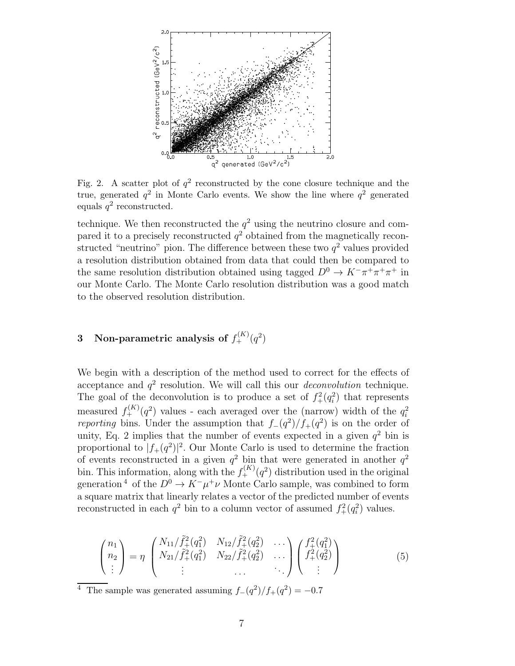

Fig. 2. A scatter plot of  $q^2$  reconstructed by the cone closure technique and the true, generated  $q^2$  in Monte Carlo events. We show the line where  $q^2$  generated equals  $q^2$  reconstructed.

technique. We then reconstructed the  $q^2$  using the neutrino closure and compared it to a precisely reconstructed  $q^2$  obtained from the magnetically reconstructed "neutrino" pion. The difference between these two  $q^2$  values provided a resolution distribution obtained from data that could then be compared to the same resolution distribution obtained using tagged  $D^0 \to K^- \pi^+ \pi^+ \pi^+$  in our Monte Carlo. The Monte Carlo resolution distribution was a good match to the observed resolution distribution.

## 3 Non-parametric analysis of  $f_+^{(K)}(q^2)$

We begin with a description of the method used to correct for the effects of acceptance and  $q^2$  resolution. We will call this our *deconvolution* technique. The goal of the deconvolution is to produce a set of  $f^2_+(q_i^2)$  that represents measured  $f_+^{(K)}(q^2)$  values - each averaged over the (narrow) width of the  $q_i^2$ *reporting* bins. Under the assumption that  $f_-(q^2)/f_+(q^2)$  is on the order of unity, Eq. 2 implies that the number of events expected in a given  $q^2$  bin is proportional to  $|f_+(q^2)|^2$ . Our Monte Carlo is used to determine the fraction of events reconstructed in a given  $q^2$  bin that were generated in another  $q^2$ bin. This information, along with the  $f_{+}^{(K)}(q^2)$  distribution used in the original generation<sup>4</sup> of the  $D^0 \to K^-\mu^+\nu$  Monte Carlo sample, was combined to form a square matrix that linearly relates a vector of the predicted number of events reconstructed in each  $q^2$  bin to a column vector of assumed  $f^2_+(q_i^2)$  values.

$$
\begin{pmatrix}\nn_1 \\
n_2 \\
\vdots\n\end{pmatrix} = \eta \begin{pmatrix}\nN_{11}/\tilde{f}_+^2(q_1^2) & N_{12}/\tilde{f}_+^2(q_2^2) & \cdots \\
N_{21}/\tilde{f}_+^2(q_1^2) & N_{22}/\tilde{f}_+^2(q_2^2) & \cdots \\
\vdots & \cdots & \ddots\n\end{pmatrix} \begin{pmatrix}\nf_+^2(q_1^2) \\
f_+^2(q_2^2) \\
\vdots\n\end{pmatrix}
$$
\n(5)

<sup>4</sup> The sample was generated assuming  $f_{-}(q^2)/f_{+}(q^2) = -0.7$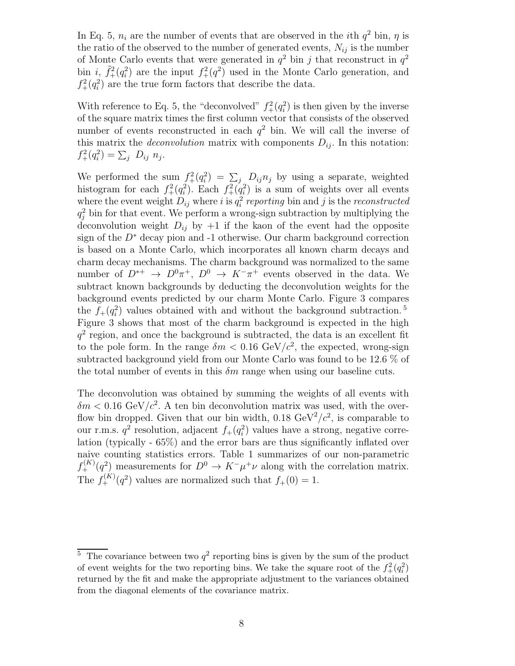In Eq. 5,  $n_i$  are the number of events that are observed in the *i*th  $q^2$  bin,  $\eta$  is the ratio of the observed to the number of generated events,  $N_{ij}$  is the number of Monte Carlo events that were generated in  $q^2$  bin j that reconstruct in  $q^2$ bin *i*,  $\tilde{f}_+^2(q_i^2)$  are the input  $f_+^2(q^2)$  used in the Monte Carlo generation, and  $f_+^2(q_i^2)$  are the true form factors that describe the data.

With reference to Eq. 5, the "deconvolved"  $f^2_+(q_i^2)$  is then given by the inverse of the square matrix times the first column vector that consists of the observed number of events reconstructed in each  $q^2$  bin. We will call the inverse of this matrix the *deconvolution* matrix with components  $D_{ij}$ . In this notation:  $f_+^2(q_i^2) = \sum_j D_{ij} n_j.$ 

We performed the sum  $f^2_+(q_i^2) = \sum_j D_{ij} n_j$  by using a separate, weighted histogram for each  $f^2_+(q_i^2)$ . Each  $f^2_+(q_i^2)$  is a sum of weights over all events where the event weight  $D_{ij}$  where i is  $q_i^2$  reporting bin and j is the reconstructed  $q_j^2$  bin for that event. We perform a wrong-sign subtraction by multiplying the deconvolution weight  $D_{ij}$  by  $+1$  if the kaon of the event had the opposite sign of the  $D^*$  decay pion and -1 otherwise. Our charm background correction is based on a Monte Carlo, which incorporates all known charm decays and charm decay mechanisms. The charm background was normalized to the same number of  $D^{*+} \to D^0 \pi^+$ ,  $D^0 \to K^- \pi^+$  events observed in the data. We subtract known backgrounds by deducting the deconvolution weights for the background events predicted by our charm Monte Carlo. Figure 3 compares the  $f_+(q_i^2)$  values obtained with and without the background subtraction.<sup>5</sup> Figure 3 shows that most of the charm background is expected in the high  $q<sup>2</sup>$  region, and once the background is subtracted, the data is an excellent fit to the pole form. In the range  $\delta m < 0.16 \text{ GeV}/c^2$ , the expected, wrong-sign subtracted background yield from our Monte Carlo was found to be 12.6 % of the total number of events in this  $\delta m$  range when using our baseline cuts.

The deconvolution was obtained by summing the weights of all events with  $\delta m < 0.16 \text{ GeV}/c^2$ . A ten bin deconvolution matrix was used, with the overflow bin dropped. Given that our bin width,  $0.18 \text{ GeV}^2/c^2$ , is comparable to our r.m.s.  $q^2$  resolution, adjacent  $f_+(q_i^2)$  values have a strong, negative correlation (typically - 65%) and the error bars are thus significantly inflated over naive counting statistics errors. Table 1 summarizes of our non-parametric  $f_+^{(K)}(q^2)$  measurements for  $D^0 \to K^-\mu^+\nu$  along with the correlation matrix. The  $f_+^{(K)}(q^2)$  values are normalized such that  $f_+(0) = 1$ .

<sup>&</sup>lt;sup>5</sup> The covariance between two  $q^2$  reporting bins is given by the sum of the product of event weights for the two reporting bins. We take the square root of the  $f^2_+(q_i^2)$ returned by the fit and make the appropriate adjustment to the variances obtained from the diagonal elements of the covariance matrix.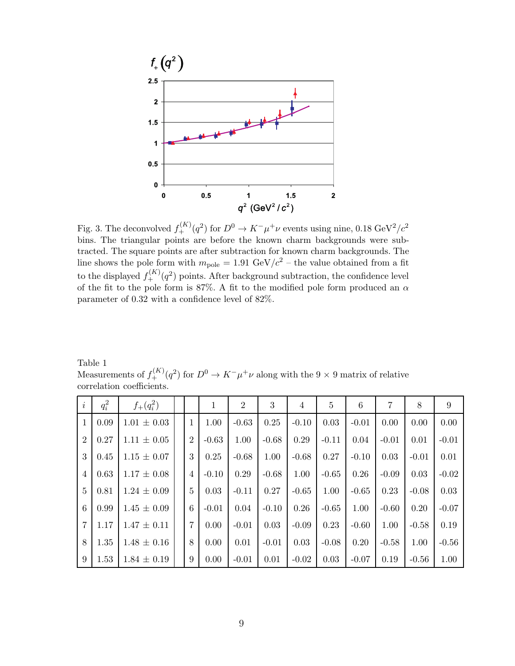

Fig. 3. The deconvolved  $f_+^{(K)}(q^2)$  for  $D^0 \to K^- \mu^+ \nu$  events using nine, 0.18 GeV<sup>2</sup>/ $c^2$ bins. The triangular points are before the known charm backgrounds were subtracted. The square points are after subtraction for known charm backgrounds. The line shows the pole form with  $m_{\text{pole}} = 1.91 \text{ GeV}/c^2$  – the value obtained from a fit to the displayed  $f_{+}^{(K)}(q^2)$  points. After background subtraction, the confidence level of the fit to the pole form is 87%. A fit to the modified pole form produced an  $\alpha$ parameter of 0.32 with a confidence level of 82%.

| Measurements of $f_{\perp}^{(1)}(q^2)$ for $D^0 \to K^- \mu^+ \nu$ along with the 9 $\times$ 9 matrix of relative<br>correlation coefficients. |  |                                                                                                           |  |  |  |  |  |  |  |  |  |
|------------------------------------------------------------------------------------------------------------------------------------------------|--|-----------------------------------------------------------------------------------------------------------|--|--|--|--|--|--|--|--|--|
|                                                                                                                                                |  | $f_{+}(q_i^2)$                                                                                            |  |  |  |  |  |  |  |  |  |
|                                                                                                                                                |  | $0.09$   $1.01 \pm 0.03$   $1$   $1.00$   $-0.63$   $0.25$   $-0.10$   $0.03$   $-0.01$   $0.00$   $0.00$ |  |  |  |  |  |  |  |  |  |

Table 1 Measurements of  $f$  ${}_{+}^{(K)}(q^2)$ ) for  $D^0 \to K^-\mu$  $+\nu$  along with the 9  $\times$  9 matrix of relative

| $\dot{\imath}$ | $q_i^2$ | $f_{+}(q_i^2)$  |                | 1       | $\overline{2}$ | 3       | $\overline{4}$ | 5       | 6       | 7       | 8       | 9       |
|----------------|---------|-----------------|----------------|---------|----------------|---------|----------------|---------|---------|---------|---------|---------|
| $\mathbf{1}$   | 0.09    | $1.01 \pm 0.03$ | 1              | 1.00    | $-0.63$        | 0.25    | $-0.10$        | 0.03    | $-0.01$ | 0.00    | 0.00    | 0.00    |
| $\overline{2}$ | 0.27    | $1.11 \pm 0.05$ | $\overline{2}$ | $-0.63$ | 1.00           | $-0.68$ | 0.29           | $-0.11$ | 0.04    | $-0.01$ | 0.01    | $-0.01$ |
| 3              | 0.45    | $1.15 \pm 0.07$ | 3              | 0.25    | $-0.68$        | 1.00    | $-0.68$        | 0.27    | $-0.10$ | 0.03    | $-0.01$ | 0.01    |
| $\overline{4}$ | 0.63    | $1.17 \pm 0.08$ | $\overline{4}$ | $-0.10$ | 0.29           | $-0.68$ | 1.00           | $-0.65$ | 0.26    | $-0.09$ | 0.03    | $-0.02$ |
| $\overline{5}$ | 0.81    | $1.24 \pm 0.09$ | $\overline{5}$ | 0.03    | $-0.11$        | 0.27    | $-0.65$        | 1.00    | $-0.65$ | 0.23    | $-0.08$ | 0.03    |
| 6              | 0.99    | $1.45 \pm 0.09$ | 6              | $-0.01$ | 0.04           | $-0.10$ | 0.26           | $-0.65$ | 1.00    | $-0.60$ | 0.20    | $-0.07$ |
| 7              | 1.17    | $1.47 \pm 0.11$ | $\overline{7}$ | 0.00    | $-0.01$        | 0.03    | $-0.09$        | 0.23    | $-0.60$ | 1.00    | $-0.58$ | 0.19    |
| 8              | 1.35    | $1.48 \pm 0.16$ | 8              | 0.00    | 0.01           | $-0.01$ | 0.03           | $-0.08$ | 0.20    | $-0.58$ | 1.00    | $-0.56$ |
| 9              | 1.53    | $1.84 \pm 0.19$ | 9              | 0.00    | $-0.01$        | 0.01    | $-0.02$        | 0.03    | $-0.07$ | 0.19    | $-0.56$ | 1.00    |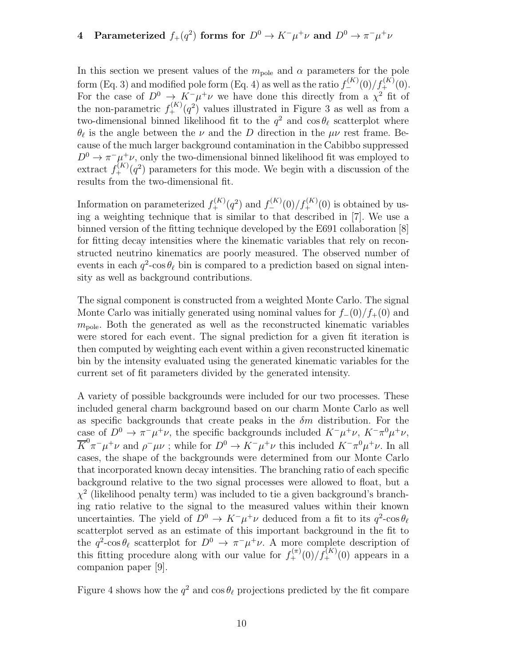### 4 Parameterized  $f_+(q^2)$  forms for  $D^0 \to K^-\mu^+\nu$  and  $D^0 \to \pi^-\mu^+\nu$

In this section we present values of the  $m_{\text{pole}}$  and  $\alpha$  parameters for the pole form (Eq. 3) and modified pole form (Eq. 4) as well as the ratio  $f^{(K)}_-(0)/f^{(K)}_+(0)$ . For the case of  $D^0 \to K^- \mu^+ \nu$  we have done this directly from a  $\chi^2$  fit of the non-parametric  $f_+^{(K)}(q^2)$  values illustrated in Figure 3 as well as from a two-dimensional binned likelihood fit to the  $q^2$  and  $\cos \theta_\ell$  scatterplot where  $\theta_{\ell}$  is the angle between the  $\nu$  and the D direction in the  $\mu\nu$  rest frame. Because of the much larger background contamination in the Cabibbo suppressed  $D^0 \to \pi^- \mu^+ \nu$ , only the two-dimensional binned likelihood fit was employed to extract  $f_+^{(K)}(q^2)$  parameters for this mode. We begin with a discussion of the results from the two-dimensional fit.

Information on parameterized  $f_{+}^{(K)}(q^2)$  and  $f_{-}^{(K)}(0)/f_{+}^{(K)}(0)$  is obtained by using a weighting technique that is similar to that described in [7]. We use a binned version of the fitting technique developed by the E691 collaboration [8] for fitting decay intensities where the kinematic variables that rely on reconstructed neutrino kinematics are poorly measured. The observed number of events in each  $q^2$ -cos  $\theta_{\ell}$  bin is compared to a prediction based on signal intensity as well as background contributions.

The signal component is constructed from a weighted Monte Carlo. The signal Monte Carlo was initially generated using nominal values for  $f_-(0)/f_+(0)$  and  $m_{\text{pole}}$ . Both the generated as well as the reconstructed kinematic variables were stored for each event. The signal prediction for a given fit iteration is then computed by weighting each event within a given reconstructed kinematic bin by the intensity evaluated using the generated kinematic variables for the current set of fit parameters divided by the generated intensity.

A variety of possible backgrounds were included for our two processes. These included general charm background based on our charm Monte Carlo as well as specific backgrounds that create peaks in the  $\delta m$  distribution. For the case of  $D^0 \to \pi^- \mu^+ \nu$ , the specific backgrounds included  $K^- \mu^+ \nu$ ,  $K^- \pi^0 \mu^+ \nu$ ,  $\overline{K}^0 \pi^- \mu^+ \nu$  and  $\rho^- \mu \nu$ ; while for  $D^0 \to K^- \mu^+ \nu$  this included  $K^- \pi^0 \mu^+ \nu$ . In all cases, the shape of the backgrounds were determined from our Monte Carlo that incorporated known decay intensities. The branching ratio of each specific background relative to the two signal processes were allowed to float, but a  $\chi^2$  (likelihood penalty term) was included to tie a given background's branching ratio relative to the signal to the measured values within their known uncertainties. The yield of  $\overline{D}^0 \to K^- \mu^+ \nu$  deduced from a fit to its  $q^2$ -cos $\theta_\ell$ scatterplot served as an estimate of this important background in the fit to the  $q^2$ -cos  $\theta_\ell$  scatterplot for  $D^0 \to \pi^- \mu^+ \nu$ . A more complete description of this fitting procedure along with our value for  $f_{+}^{(\pi)}(0)/f_{+}^{(K)}(0)$  appears in a companion paper [9].

Figure 4 shows how the  $q^2$  and  $\cos \theta_\ell$  projections predicted by the fit compare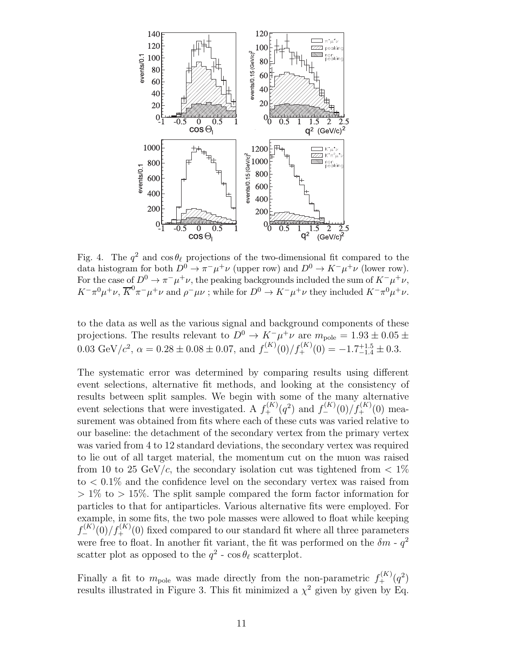

Fig. 4. The  $q^2$  and  $\cos \theta_\ell$  projections of the two-dimensional fit compared to the data histogram for both  $D^0 \to \pi^- \mu^+ \nu$  (upper row) and  $D^0 \to K^- \mu^+ \nu$  (lower row). For the case of  $D^0 \to \pi^- \mu^+ \nu$ , the peaking backgrounds included the sum of  $K^-\mu^+\nu$ ,  $K^-\pi^0\mu^+\nu$ ,  $\overline{K}^0\pi^-\mu^+\nu$  and  $\rho^-\mu\nu$ ; while for  $D^0 \to K^-\mu^+\nu$  they included  $K^-\pi^0\mu^+\nu$ .

to the data as well as the various signal and background components of these projections. The results relevant to  $D^0 \to K^-\mu^+\nu$  are  $m_{\text{pole}} = 1.93 \pm 0.05 \pm 0.05$ 0.03 GeV/ $c^2$ ,  $\alpha = 0.28 \pm 0.08 \pm 0.07$ , and  $f_{-}^{(K)}(0)/f_{+}^{(K)}(0) = -1.7_{-1.4}^{+1.5} \pm 0.3$ .

The systematic error was determined by comparing results using different event selections, alternative fit methods, and looking at the consistency of results between split samples. We begin with some of the many alternative event selections that were investigated. A  $f_{+}^{(K)}(q^2)$  and  $f_{-}^{(K)}(0)/f_{+}^{(K)}(0)$  measurement was obtained from fits where each of these cuts was varied relative to our baseline: the detachment of the secondary vertex from the primary vertex was varied from 4 to 12 standard deviations, the secondary vertex was required to lie out of all target material, the momentum cut on the muon was raised from 10 to 25 GeV/c, the secondary isolation cut was tightened from  $\langle 1\%$ to  $< 0.1\%$  and the confidence level on the secondary vertex was raised from  $> 1\%$  to  $> 15\%$ . The split sample compared the form factor information for particles to that for antiparticles. Various alternative fits were employed. For example, in some fits, the two pole masses were allowed to float while keeping  $f^{(K)}_-(0)/f^{(K)}_+(0)$  fixed compared to our standard fit where all three parameters were free to float. In another fit variant, the fit was performed on the  $\delta m$  -  $q^2$ scatter plot as opposed to the  $q^2$  -  $\cos \theta_\ell$  scatterplot.

Finally a fit to  $m_{\text{pole}}$  was made directly from the non-parametric  $f_{+}^{(K)}(q^2)$ results illustrated in Figure 3. This fit minimized a  $\chi^2$  given by given by Eq.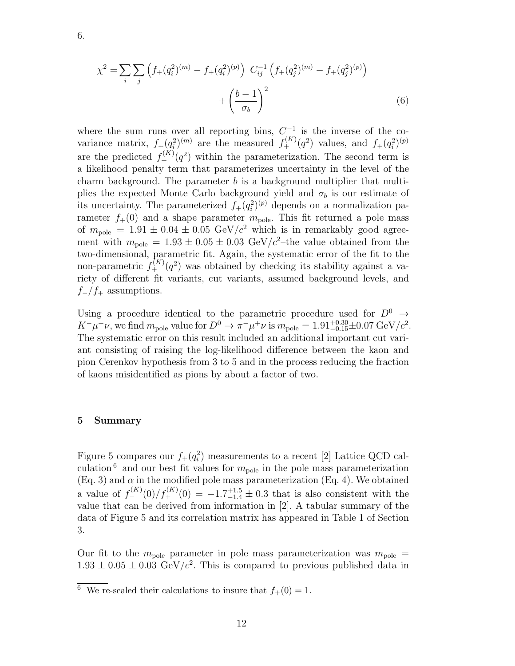$$
\chi^2 = \sum_{i} \sum_{j} \left( f_{+}(q_i^2)^{(m)} - f_{+}(q_i^2)^{(p)} \right) C_{ij}^{-1} \left( f_{+}(q_j^2)^{(m)} - f_{+}(q_j^2)^{(p)} \right) + \left( \frac{b-1}{\sigma_b} \right)^2 \tag{6}
$$

where the sum runs over all reporting bins,  $C^{-1}$  is the inverse of the covariance matrix,  $f_+(q_i^2)^{(m)}$  are the measured  $f_+^{(K)}(q^2)$  values, and  $f_+(q_i^2)^{(p)}$ are the predicted  $f_+^{(K)}(q^2)$  within the parameterization. The second term is a likelihood penalty term that parameterizes uncertainty in the level of the charm background. The parameter  $b$  is a background multiplier that multiplies the expected Monte Carlo background yield and  $\sigma_b$  is our estimate of its uncertainty. The parameterized  $f_+(q_i^2)^{(p)}$  depends on a normalization parameter  $f_+(0)$  and a shape parameter  $m_{\text{pole}}$ . This fit returned a pole mass of  $m_{\text{pole}} = 1.91 \pm 0.04 \pm 0.05 \text{ GeV}/c^2$  which is in remarkably good agreement with  $m_{\text{pole}} = 1.93 \pm 0.05 \pm 0.03 \text{ GeV}/c^2$ -the value obtained from the two-dimensional, parametric fit. Again, the systematic error of the fit to the non-parametric  $f_+^{(K)}(q^2)$  was obtained by checking its stability against a variety of different fit variants, cut variants, assumed background levels, and  $f_{-}/f_{+}$  assumptions.

Using a procedure identical to the parametric procedure used for  $D^0 \rightarrow$  $K^-\mu^+\nu$ , we find  $m_{\text{pole}}$  value for  $D^0 \to \pi^- \mu^+\nu$  is  $m_{\text{pole}} = 1.91^{+0.30}_{-0.15} \pm 0.07 \text{ GeV}/c^2$ . The systematic error on this result included an additional important cut variant consisting of raising the log-likelihood difference between the kaon and pion Cerenkov hypothesis from 3 to 5 and in the process reducing the fraction of kaons misidentified as pions by about a factor of two.

### 5 Summary

Figure 5 compares our  $f_+(q_i^2)$  measurements to a recent [2] Lattice QCD calculation  $6$  and our best fit values for  $m_{pole}$  in the pole mass parameterization (Eq. 3) and  $\alpha$  in the modified pole mass parameterization (Eq. 4). We obtained a value of  $f_{-}^{(K)}(0)/f_{+}^{(K)}(0) = -1.7_{-1.4}^{+1.5} \pm 0.3$  that is also consistent with the value that can be derived from information in [2]. A tabular summary of the data of Figure 5 and its correlation matrix has appeared in Table 1 of Section 3.

Our fit to the  $m_{pole}$  parameter in pole mass parameterization was  $m_{pole}$  =  $1.93 \pm 0.05 \pm 0.03$  GeV/ $c^2$ . This is compared to previous published data in

<sup>&</sup>lt;sup>6</sup> We re-scaled their calculations to insure that  $f_+(0) = 1$ .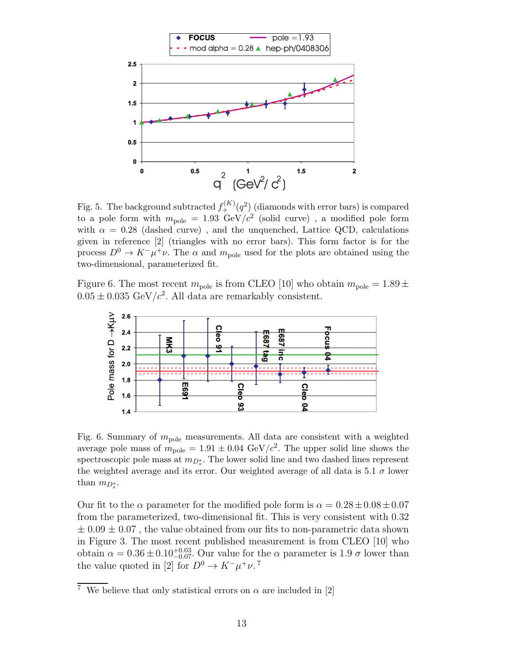

Fig. 5. The background subtracted  $f_{+}^{(K)}(q^2)$  (diamonds with error bars) is compared to a pole form with  $m_{\rm{pole}} = 1.93 \text{ GeV}/c^2$  (solid curve), a modified pole form with  $\alpha = 0.28$  (dashed curve), and the unquenched, Lattice QCD, calculations given in reference [2] (triangles with no error bars). This form factor is for the process  $D^0 \to K^- \mu^+ \nu$ . The  $\alpha$  and  $m_{\text{pole}}$  used for the plots are obtained using the two-dimensional, parameterized fit.

Figure 6. The most recent  $m_{\text{pole}}$  is from CLEO [10] who obtain  $m_{\text{pole}} = 1.89 \pm 1.89$  $0.05 \pm 0.035 \text{ GeV}/c^2$ . All data are remarkably consistent.



Fig. 6. Summary of  $m_{\text{pole}}$  measurements. All data are consistent with a weighted average pole mass of  $m_{\text{pole}} = 1.91 \pm 0.04 \text{ GeV}/c^2$ . The upper solid line shows the spectroscopic pole mass at  $m_{D_{s}^{*}}$ . The lower solid line and two dashed lines represent the weighted average and its error. Our weighted average of all data is 5.1  $\sigma$  lower than  $m_{D_s^*}$ .

Our fit to the  $\alpha$  parameter for the modified pole form is  $\alpha = 0.28 \pm 0.08 \pm 0.07$ from the parameterized, two-dimensional fit. This is very consistent with 0.32  $\pm 0.09 \pm 0.07$ , the value obtained from our fits to non-parametric data shown in Figure 3. The most recent published measurement is from CLEO [10] who obtain  $\alpha = 0.36 \pm 0.10^{+0.03}_{-0.07}$ . Our value for the  $\alpha$  parameter is 1.9  $\sigma$  lower than the value quoted in [2] for  $D^0 \to K^- \mu^+ \nu$ .<sup>7</sup>

<sup>&</sup>lt;sup>7</sup> We believe that only statistical errors on  $\alpha$  are included in [2]